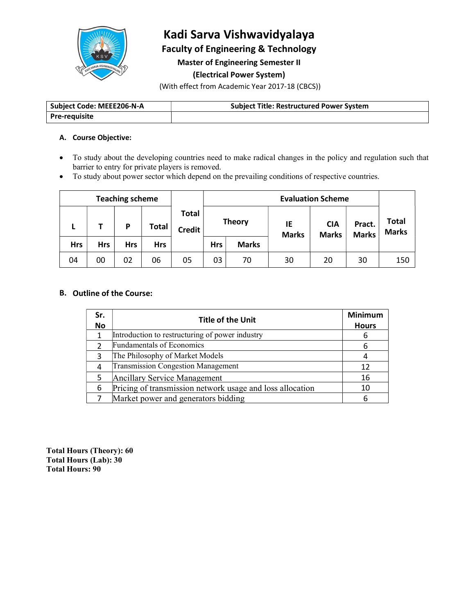

# Kadi Sarva Vishwavidyalaya

Faculty of Engineering & Technology

Master of Engineering Semester II

# (Electrical Power System)

(With effect from Academic Year 2017-18 (CBCS))

| Subiect<br>t Code: MEEE206-N-A | Title: Restructured  <br>Power<br>' System<br>Subiect |
|--------------------------------|-------------------------------------------------------|
| Pre-<br>-reauisite             |                                                       |

#### A. Course Objective:

- To study about the developing countries need to make radical changes in the policy and regulation such that barrier to entry for private players is removed.
- To study about power sector which depend on the prevailing conditions of respective countries.

| <b>Teaching scheme</b> |            |     |            |              | <b>Evaluation Scheme</b>      |            |               |                    |                            |                        |                              |
|------------------------|------------|-----|------------|--------------|-------------------------------|------------|---------------|--------------------|----------------------------|------------------------|------------------------------|
|                        | ь          |     | P          | <b>Total</b> | <b>Total</b><br><b>Credit</b> |            | <b>Theory</b> | IE<br><b>Marks</b> | <b>CIA</b><br><b>Marks</b> | Pract.<br><b>Marks</b> | <b>Total</b><br><b>Marks</b> |
|                        | <b>Hrs</b> | Hrs | <b>Hrs</b> | <b>Hrs</b>   |                               | <b>Hrs</b> | <b>Marks</b>  |                    |                            |                        |                              |
|                        | 04         | 00  | 02         | 06           | 05                            | 03         | 70            | 30                 | 20                         | 30                     | 150                          |

#### B. Outline of the Course:

| Sr.<br>No | <b>Title of the Unit</b>                                  | <b>Minimum</b><br><b>Hours</b> |
|-----------|-----------------------------------------------------------|--------------------------------|
|           | Introduction to restructuring of power industry           |                                |
| h         | Fundamentals of Economics                                 |                                |
| C         | The Philosophy of Market Models                           |                                |
| 4         | <b>Transmission Congestion Management</b>                 | 12                             |
|           | Ancillary Service Management                              | 16                             |
| 6         | Pricing of transmission network usage and loss allocation | 10                             |
|           | Market power and generators bidding                       |                                |

Total Hours (Theory): 60 Total Hours (Lab): 30 Total Hours: 90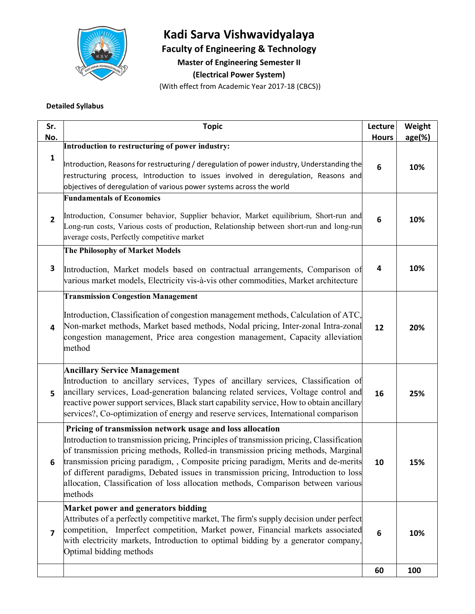

# Kadi Sarva Vishwavidyalaya

Faculty of Engineering & Technology

Master of Engineering Semester II

(Electrical Power System)

(With effect from Academic Year 2017-18 (CBCS))

#### Detailed Syllabus

| Sr.<br>No.              | <b>Topic</b>                                                                                                                                                                                                                                                                                                                                                                                                                                                                                                            | Lecture<br><b>Hours</b> | Weight<br>age(%) |
|-------------------------|-------------------------------------------------------------------------------------------------------------------------------------------------------------------------------------------------------------------------------------------------------------------------------------------------------------------------------------------------------------------------------------------------------------------------------------------------------------------------------------------------------------------------|-------------------------|------------------|
|                         | Introduction to restructuring of power industry:                                                                                                                                                                                                                                                                                                                                                                                                                                                                        |                         |                  |
| $\mathbf{1}$            | Introduction, Reasons for restructuring / deregulation of power industry, Understanding the<br>restructuring process, Introduction to issues involved in deregulation, Reasons and<br>objectives of deregulation of various power systems across the world                                                                                                                                                                                                                                                              | 6                       | 10%              |
|                         | <b>Fundamentals of Economics</b>                                                                                                                                                                                                                                                                                                                                                                                                                                                                                        |                         |                  |
| $\overline{2}$          | Introduction, Consumer behavior, Supplier behavior, Market equilibrium, Short-run and<br>Long-run costs, Various costs of production, Relationship between short-run and long-run<br>average costs, Perfectly competitive market                                                                                                                                                                                                                                                                                        | 6                       | 10%              |
|                         | The Philosophy of Market Models                                                                                                                                                                                                                                                                                                                                                                                                                                                                                         |                         |                  |
| 3                       | Introduction, Market models based on contractual arrangements, Comparison of<br>various market models, Electricity vis-à-vis other commodities, Market architecture                                                                                                                                                                                                                                                                                                                                                     | 4                       | 10%              |
|                         | <b>Transmission Congestion Management</b>                                                                                                                                                                                                                                                                                                                                                                                                                                                                               |                         |                  |
| 4                       | Introduction, Classification of congestion management methods, Calculation of ATC,<br>Non-market methods, Market based methods, Nodal pricing, Inter-zonal Intra-zonal<br>congestion management, Price area congestion management, Capacity alleviation<br>method                                                                                                                                                                                                                                                       | 12                      | 20%              |
| 5                       | <b>Ancillary Service Management</b><br>Introduction to ancillary services, Types of ancillary services, Classification of<br>ancillary services, Load-generation balancing related services, Voltage control and<br>reactive power support services, Black start capability service, How to obtain ancillary<br>services?, Co-optimization of energy and reserve services, International comparison                                                                                                                     | 16                      | 25%              |
| 6                       | Pricing of transmission network usage and loss allocation<br>Introduction to transmission pricing, Principles of transmission pricing, Classification<br>of transmission pricing methods, Rolled-in transmission pricing methods, Marginal<br>transmission pricing paradigm, , Composite pricing paradigm, Merits and de-merits<br>of different paradigms, Debated issues in transmission pricing, Introduction to loss<br>allocation, Classification of loss allocation methods, Comparison between various<br>methods | 10                      | 15%              |
|                         | Market power and generators bidding                                                                                                                                                                                                                                                                                                                                                                                                                                                                                     |                         |                  |
| $\overline{\mathbf{z}}$ | Attributes of a perfectly competitive market, The firm's supply decision under perfect<br>competition, Imperfect competition, Market power, Financial markets associated<br>with electricity markets, Introduction to optimal bidding by a generator company,<br>Optimal bidding methods                                                                                                                                                                                                                                | 6                       | 10%              |
|                         |                                                                                                                                                                                                                                                                                                                                                                                                                                                                                                                         | 60                      | 100              |